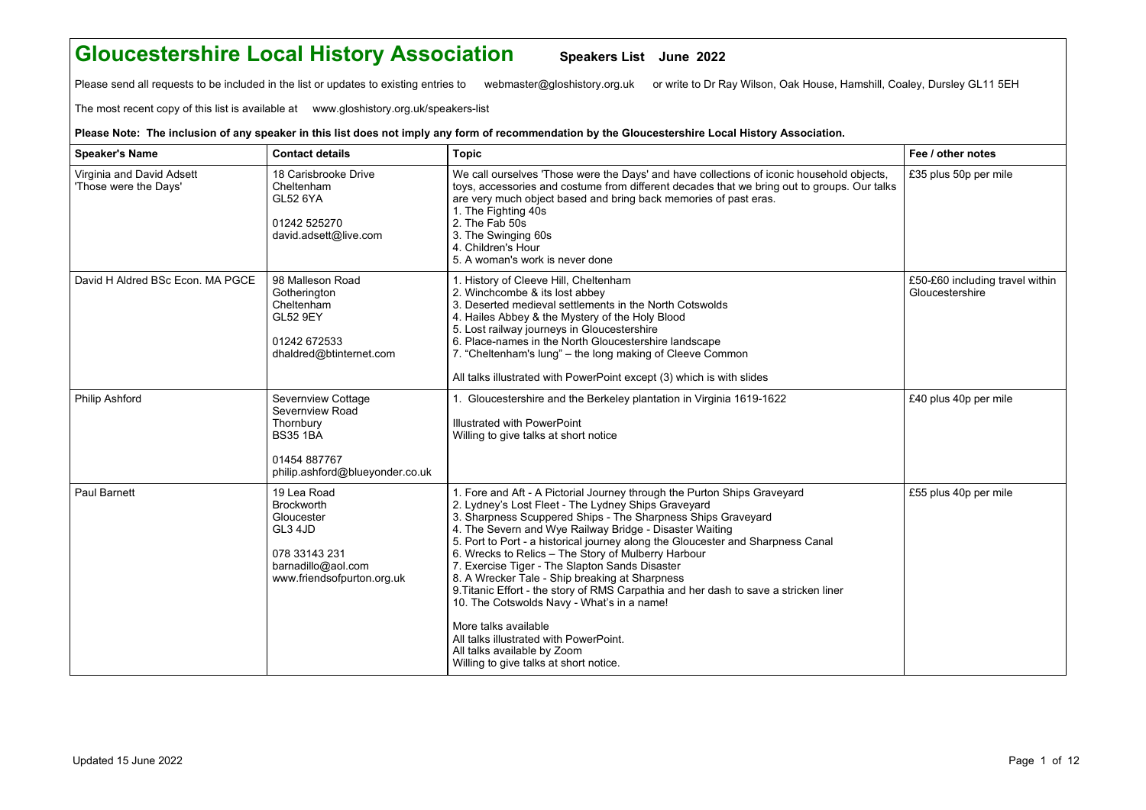## **Gloucestershire Local History Association Speakers List June 2022**

Please send all requests to be included in the list or updates to existing entries to webmaster@gloshistory.org.uk or write to Dr Ray Wilson, Oak House, Hamshill, Coaley, Dursley GL11 5EH

The most recent copy of this list is available at www.gloshistory.org.uk/speakers-list

## **Please Note: The inclusion of any speaker in this list does not imply any form of recommendation by the Gloucestershire Local History Association.**

| <b>Speaker's Name</b>                              | <b>Contact details</b>                                                                                                         | <b>Topic</b>                                                                                                                                                                                                                                                                                                                                                                                                                                                                                                                                                                                                                                                                                                                                                                              | Fee / other notes                                  |
|----------------------------------------------------|--------------------------------------------------------------------------------------------------------------------------------|-------------------------------------------------------------------------------------------------------------------------------------------------------------------------------------------------------------------------------------------------------------------------------------------------------------------------------------------------------------------------------------------------------------------------------------------------------------------------------------------------------------------------------------------------------------------------------------------------------------------------------------------------------------------------------------------------------------------------------------------------------------------------------------------|----------------------------------------------------|
| Virginia and David Adsett<br>'Those were the Days' | 18 Carisbrooke Drive<br>Cheltenham<br>GL52 6YA<br>01242 525270<br>david.adsett@live.com                                        | We call ourselves 'Those were the Days' and have collections of iconic household objects,<br>toys, accessories and costume from different decades that we bring out to groups. Our talks<br>are very much object based and bring back memories of past eras.<br>1. The Fighting 40s<br>2. The Fab 50s<br>3. The Swinging 60s<br>4. Children's Hour<br>5. A woman's work is never done                                                                                                                                                                                                                                                                                                                                                                                                     | £35 plus 50p per mile                              |
| David H Aldred BSc Econ. MA PGCE                   | 98 Malleson Road<br>Gotherington<br>Cheltenham<br><b>GL52 9EY</b><br>01242 672533<br>dhaldred@btinternet.com                   | 1. History of Cleeve Hill, Cheltenham<br>2. Winchcombe & its lost abbey<br>3. Deserted medieval settlements in the North Cotswolds<br>4. Hailes Abbey & the Mystery of the Holy Blood<br>5. Lost railway journeys in Gloucestershire<br>6. Place-names in the North Gloucestershire landscape<br>7. "Cheltenham's lung" - the long making of Cleeve Common<br>All talks illustrated with PowerPoint except (3) which is with slides                                                                                                                                                                                                                                                                                                                                                       | £50-£60 including travel within<br>Gloucestershire |
| <b>Philip Ashford</b>                              | Severnview Cottage<br>Severnview Road<br>Thornbury<br><b>BS35 1BA</b><br>01454 887767<br>philip.ashford@blueyonder.co.uk       | 1. Gloucestershire and the Berkeley plantation in Virginia 1619-1622<br>Illustrated with PowerPoint<br>Willing to give talks at short notice                                                                                                                                                                                                                                                                                                                                                                                                                                                                                                                                                                                                                                              | £40 plus 40p per mile                              |
| <b>Paul Barnett</b>                                | 19 Lea Road<br><b>Brockworth</b><br>Gloucester<br>GL3 4JD<br>078 33143 231<br>barnadillo@aol.com<br>www.friendsofpurton.org.uk | 1. Fore and Aft - A Pictorial Journey through the Purton Ships Graveyard<br>2. Lydney's Lost Fleet - The Lydney Ships Graveyard<br>3. Sharpness Scuppered Ships - The Sharpness Ships Graveyard<br>4. The Severn and Wye Railway Bridge - Disaster Waiting<br>5. Port to Port - a historical journey along the Gloucester and Sharpness Canal<br>6. Wrecks to Relics - The Story of Mulberry Harbour<br>7. Exercise Tiger - The Slapton Sands Disaster<br>8. A Wrecker Tale - Ship breaking at Sharpness<br>9. Titanic Effort - the story of RMS Carpathia and her dash to save a stricken liner<br>10. The Cotswolds Navy - What's in a name!<br>More talks available<br>All talks illustrated with PowerPoint.<br>All talks available by Zoom<br>Willing to give talks at short notice. | £55 plus 40p per mile                              |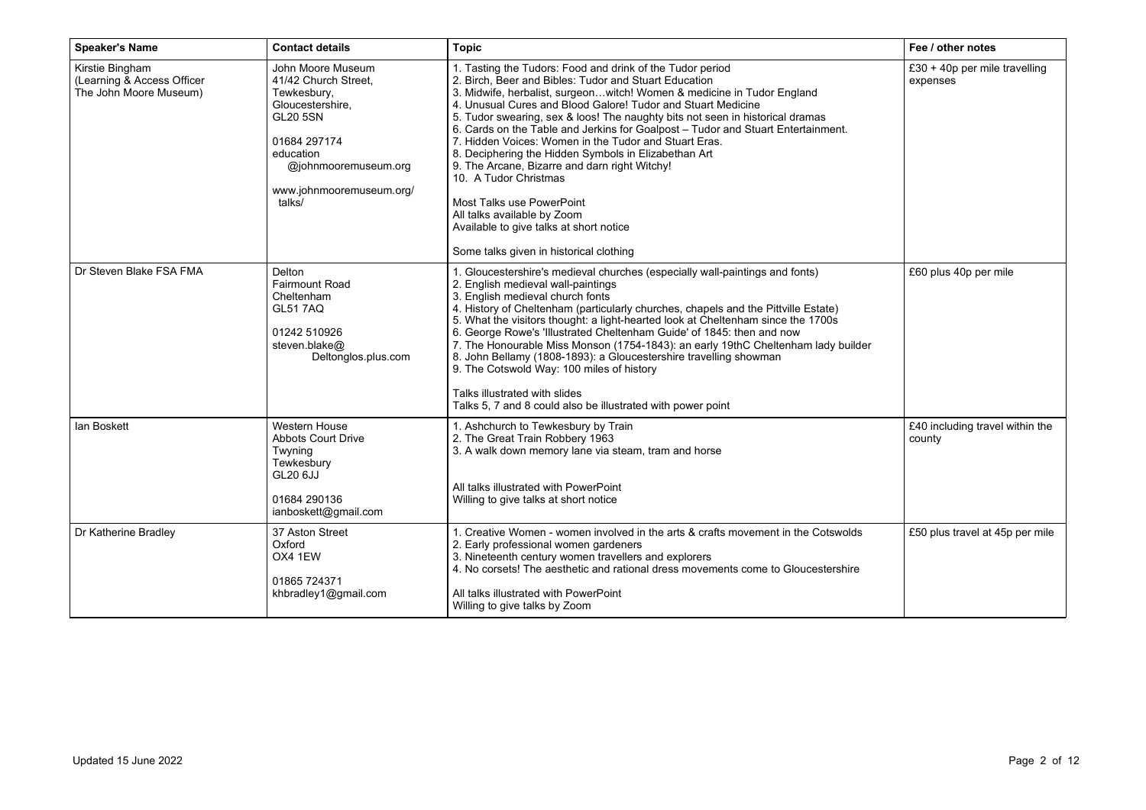| <b>Speaker's Name</b>                                                   | <b>Contact details</b>                                                                                                                                                                     | <b>Topic</b>                                                                                                                                                                                                                                                                                                                                                                                                                                                                                                                                                                                                                                                                                                                                                                          | Fee / other notes                         |
|-------------------------------------------------------------------------|--------------------------------------------------------------------------------------------------------------------------------------------------------------------------------------------|---------------------------------------------------------------------------------------------------------------------------------------------------------------------------------------------------------------------------------------------------------------------------------------------------------------------------------------------------------------------------------------------------------------------------------------------------------------------------------------------------------------------------------------------------------------------------------------------------------------------------------------------------------------------------------------------------------------------------------------------------------------------------------------|-------------------------------------------|
| Kirstie Bingham<br>(Learning & Access Officer<br>The John Moore Museum) | John Moore Museum<br>41/42 Church Street,<br>Tewkesbury,<br>Gloucestershire,<br><b>GL20 5SN</b><br>01684 297174<br>education<br>@johnmooremuseum.org<br>www.johnmooremuseum.org/<br>talks/ | 1. Tasting the Tudors: Food and drink of the Tudor period<br>2. Birch, Beer and Bibles: Tudor and Stuart Education<br>3. Midwife, herbalist, surgeonwitch! Women & medicine in Tudor England<br>4. Unusual Cures and Blood Galore! Tudor and Stuart Medicine<br>5. Tudor swearing, sex & loos! The naughty bits not seen in historical dramas<br>6. Cards on the Table and Jerkins for Goalpost - Tudor and Stuart Entertainment.<br>7. Hidden Voices: Women in the Tudor and Stuart Eras.<br>8. Deciphering the Hidden Symbols in Elizabethan Art<br>9. The Arcane, Bizarre and darn right Witchy!<br>10. A Tudor Christmas<br><b>Most Talks use PowerPoint</b><br>All talks available by Zoom<br>Available to give talks at short notice<br>Some talks given in historical clothing | £30 + 40p per mile travelling<br>expenses |
| Dr Steven Blake FSA FMA                                                 | Delton<br><b>Fairmount Road</b><br>Cheltenham<br><b>GL51 7AQ</b><br>01242 510926<br>steven.blake@<br>Deltonglos.plus.com                                                                   | 1. Gloucestershire's medieval churches (especially wall-paintings and fonts)<br>2. English medieval wall-paintings<br>3. English medieval church fonts<br>4. History of Cheltenham (particularly churches, chapels and the Pittville Estate)<br>5. What the visitors thought: a light-hearted look at Cheltenham since the 1700s<br>6. George Rowe's 'Illustrated Cheltenham Guide' of 1845: then and now<br>7. The Honourable Miss Monson (1754-1843): an early 19thC Cheltenham lady builder<br>8. John Bellamy (1808-1893): a Gloucestershire travelling showman<br>9. The Cotswold Way: 100 miles of history<br>Talks illustrated with slides<br>Talks 5, 7 and 8 could also be illustrated with power point                                                                      | £60 plus 40p per mile                     |
| lan Boskett                                                             | <b>Western House</b><br><b>Abbots Court Drive</b><br>Twyning<br>Tewkesbury<br>GL20 6JJ<br>01684 290136<br>ianboskett@gmail.com                                                             | 1. Ashchurch to Tewkesbury by Train<br>2. The Great Train Robbery 1963<br>3. A walk down memory lane via steam, tram and horse<br>All talks illustrated with PowerPoint<br>Willing to give talks at short notice                                                                                                                                                                                                                                                                                                                                                                                                                                                                                                                                                                      | £40 including travel within the<br>county |
| Dr Katherine Bradley                                                    | 37 Aston Street<br>Oxford<br>OX4 1EW<br>01865 724371<br>khbradley1@gmail.com                                                                                                               | 1. Creative Women - women involved in the arts & crafts movement in the Cotswolds<br>2. Early professional women gardeners<br>3. Nineteenth century women travellers and explorers<br>4. No corsets! The aesthetic and rational dress movements come to Gloucestershire<br>All talks illustrated with PowerPoint<br>Willing to give talks by Zoom                                                                                                                                                                                                                                                                                                                                                                                                                                     | £50 plus travel at 45p per mile           |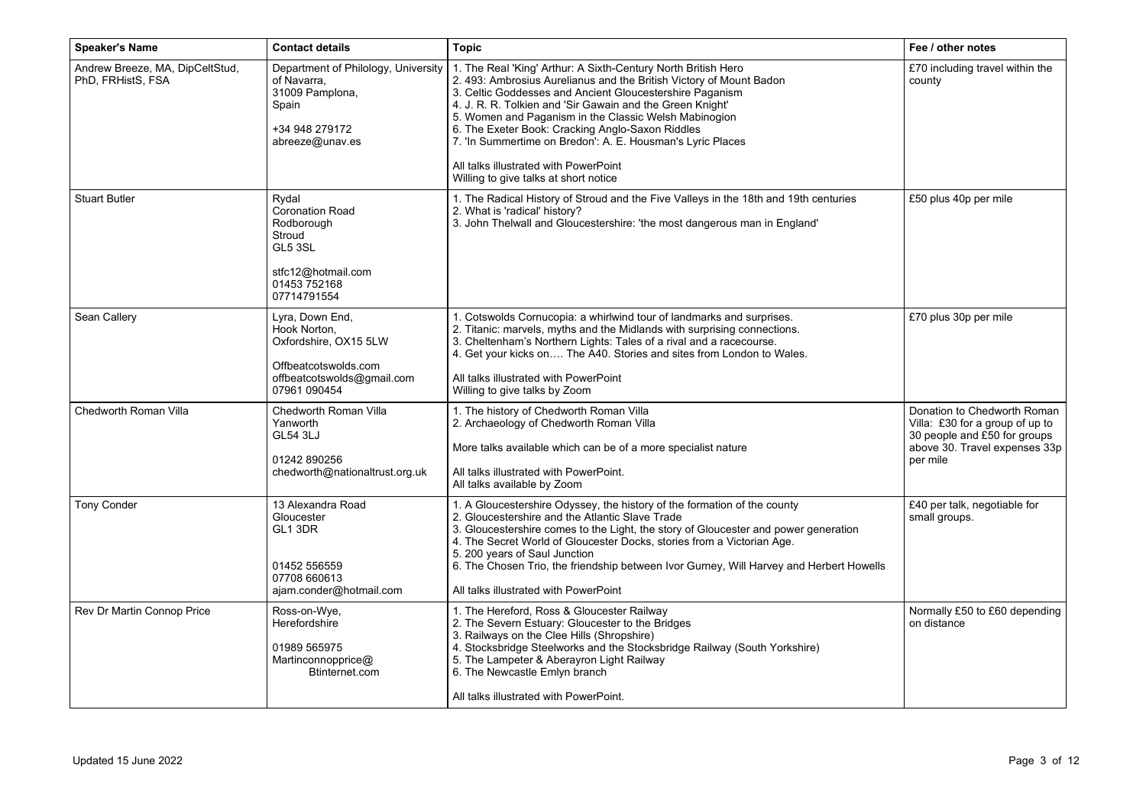| <b>Speaker's Name</b>                                | <b>Contact details</b>                                                                                                         | <b>Topic</b>                                                                                                                                                                                                                                                                                                                                                                                                                                                                                                               | Fee / other notes                                                                                                                           |
|------------------------------------------------------|--------------------------------------------------------------------------------------------------------------------------------|----------------------------------------------------------------------------------------------------------------------------------------------------------------------------------------------------------------------------------------------------------------------------------------------------------------------------------------------------------------------------------------------------------------------------------------------------------------------------------------------------------------------------|---------------------------------------------------------------------------------------------------------------------------------------------|
| Andrew Breeze, MA, DipCeltStud,<br>PhD, FRHistS, FSA | Department of Philology, University<br>of Navarra,<br>31009 Pamplona,<br>Spain<br>+34 948 279172<br>abreeze@unav.es            | 1. The Real 'King' Arthur: A Sixth-Century North British Hero<br>2. 493: Ambrosius Aurelianus and the British Victory of Mount Badon<br>3. Celtic Goddesses and Ancient Gloucestershire Paganism<br>4. J. R. R. Tolkien and 'Sir Gawain and the Green Knight'<br>5. Women and Paganism in the Classic Welsh Mabinogion<br>6. The Exeter Book: Cracking Anglo-Saxon Riddles<br>7. 'In Summertime on Bredon': A. E. Housman's Lyric Places<br>All talks illustrated with PowerPoint<br>Willing to give talks at short notice | £70 including travel within the<br>county                                                                                                   |
| <b>Stuart Butler</b>                                 | Rydal<br><b>Coronation Road</b><br>Rodborough<br>Stroud<br>GL5 3SL<br>stfc12@hotmail.com<br>01453 752168<br>07714791554        | 1. The Radical History of Stroud and the Five Valleys in the 18th and 19th centuries<br>2. What is 'radical' history?<br>3. John Thelwall and Gloucestershire: 'the most dangerous man in England'                                                                                                                                                                                                                                                                                                                         | £50 plus 40p per mile                                                                                                                       |
| Sean Callery                                         | Lyra, Down End,<br>Hook Norton,<br>Oxfordshire, OX15 5LW<br>Offbeatcotswolds.com<br>offbeatcotswolds@gmail.com<br>07961 090454 | 1. Cotswolds Cornucopia: a whirlwind tour of landmarks and surprises.<br>2. Titanic: marvels, myths and the Midlands with surprising connections.<br>3. Cheltenham's Northern Lights: Tales of a rival and a racecourse.<br>4. Get your kicks on The A40. Stories and sites from London to Wales.<br>All talks illustrated with PowerPoint<br>Willing to give talks by Zoom                                                                                                                                                | £70 plus 30p per mile                                                                                                                       |
| Chedworth Roman Villa                                | Chedworth Roman Villa<br>Yanworth<br><b>GL54 3LJ</b><br>01242 890256<br>chedworth@nationaltrust.org.uk                         | 1. The history of Chedworth Roman Villa<br>2. Archaeology of Chedworth Roman Villa<br>More talks available which can be of a more specialist nature<br>All talks illustrated with PowerPoint.<br>All talks available by Zoom                                                                                                                                                                                                                                                                                               | Donation to Chedworth Roman<br>Villa: £30 for a group of up to<br>30 people and £50 for groups<br>above 30. Travel expenses 33p<br>per mile |
| <b>Tony Conder</b>                                   | 13 Alexandra Road<br>Gloucester<br>GL1 3DR<br>01452 556559<br>07708 660613<br>ajam.conder@hotmail.com                          | 1. A Gloucestershire Odyssey, the history of the formation of the county<br>2. Gloucestershire and the Atlantic Slave Trade<br>3. Gloucestershire comes to the Light, the story of Gloucester and power generation<br>4. The Secret World of Gloucester Docks, stories from a Victorian Age.<br>5. 200 years of Saul Junction<br>6. The Chosen Trio, the friendship between Ivor Gurney, Will Harvey and Herbert Howells<br>All talks illustrated with PowerPoint                                                          | £40 per talk, negotiable for<br>small groups.                                                                                               |
| Rev Dr Martin Connop Price                           | Ross-on-Wye,<br>Herefordshire<br>01989 565975<br>Martinconnopprice@<br>Btinternet.com                                          | 1. The Hereford, Ross & Gloucester Railway<br>2. The Severn Estuary: Gloucester to the Bridges<br>3. Railways on the Clee Hills (Shropshire)<br>4. Stocksbridge Steelworks and the Stocksbridge Railway (South Yorkshire)<br>5. The Lampeter & Aberayron Light Railway<br>6. The Newcastle Emlyn branch<br>All talks illustrated with PowerPoint.                                                                                                                                                                          | Normally £50 to £60 depending<br>on distance                                                                                                |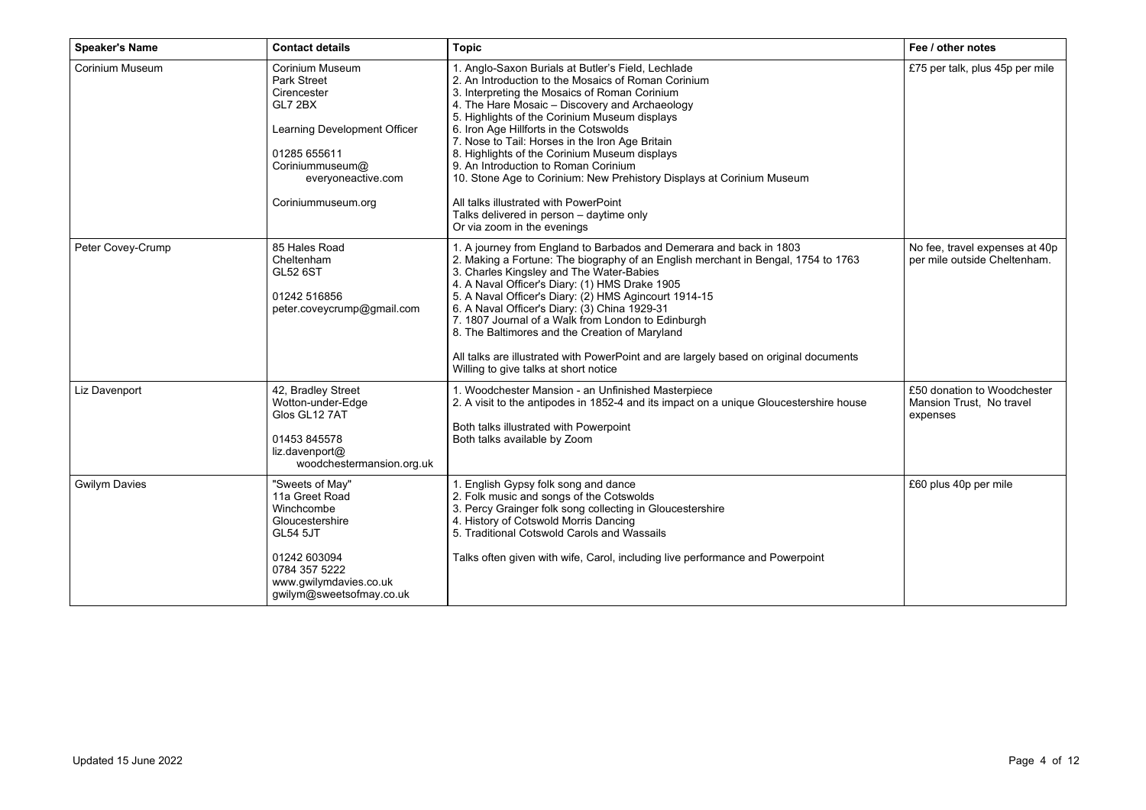| <b>Speaker's Name</b> | <b>Contact details</b>                                                                                                                                                         | <b>Topic</b>                                                                                                                                                                                                                                                                                                                                                                                                                                                                                                                                                                                                                                     | Fee / other notes                                                   |
|-----------------------|--------------------------------------------------------------------------------------------------------------------------------------------------------------------------------|--------------------------------------------------------------------------------------------------------------------------------------------------------------------------------------------------------------------------------------------------------------------------------------------------------------------------------------------------------------------------------------------------------------------------------------------------------------------------------------------------------------------------------------------------------------------------------------------------------------------------------------------------|---------------------------------------------------------------------|
| Corinium Museum       | Corinium Museum<br><b>Park Street</b><br>Cirencester<br>GL7 2BX<br>Learning Development Officer<br>01285 655611<br>Coriniummuseum@<br>everyoneactive.com<br>Coriniummuseum.org | 1. Anglo-Saxon Burials at Butler's Field, Lechlade<br>2. An Introduction to the Mosaics of Roman Corinium<br>3. Interpreting the Mosaics of Roman Corinium<br>4. The Hare Mosaic - Discovery and Archaeology<br>5. Highlights of the Corinium Museum displays<br>6. Iron Age Hillforts in the Cotswolds<br>7. Nose to Tail: Horses in the Iron Age Britain<br>8. Highlights of the Corinium Museum displays<br>9. An Introduction to Roman Corinium<br>10. Stone Age to Corinium: New Prehistory Displays at Corinium Museum<br>All talks illustrated with PowerPoint<br>Talks delivered in person - daytime only<br>Or via zoom in the evenings | £75 per talk, plus 45p per mile                                     |
| Peter Covey-Crump     | 85 Hales Road<br>Cheltenham<br><b>GL52 6ST</b><br>01242 516856<br>peter.coveycrump@gmail.com                                                                                   | 1. A journey from England to Barbados and Demerara and back in 1803<br>2. Making a Fortune: The biography of an English merchant in Bengal, 1754 to 1763<br>3. Charles Kingsley and The Water-Babies<br>4. A Naval Officer's Diary: (1) HMS Drake 1905<br>5. A Naval Officer's Diary: (2) HMS Agincourt 1914-15<br>6. A Naval Officer's Diary: (3) China 1929-31<br>7. 1807 Journal of a Walk from London to Edinburgh<br>8. The Baltimores and the Creation of Maryland<br>All talks are illustrated with PowerPoint and are largely based on original documents<br>Willing to give talks at short notice                                       | No fee, travel expenses at 40p<br>per mile outside Cheltenham.      |
| Liz Davenport         | 42, Bradley Street<br>Wotton-under-Edge<br>Glos GL12 7AT<br>01453 845578<br>liz.davenport@<br>woodchestermansion.org.uk                                                        | 1. Woodchester Mansion - an Unfinished Masterpiece<br>2. A visit to the antipodes in 1852-4 and its impact on a unique Gloucestershire house<br>Both talks illustrated with Powerpoint<br>Both talks available by Zoom                                                                                                                                                                                                                                                                                                                                                                                                                           | £50 donation to Woodchester<br>Mansion Trust, No travel<br>expenses |
| <b>Gwilym Davies</b>  | "Sweets of May"<br>11a Greet Road<br>Winchcombe<br>Gloucestershire<br><b>GL54 5JT</b><br>01242 603094<br>0784 357 5222<br>www.qwilymdavies.co.uk<br>gwilym@sweetsofmay.co.uk   | 1. English Gypsy folk song and dance<br>2. Folk music and songs of the Cotswolds<br>3. Percy Grainger folk song collecting in Gloucestershire<br>4. History of Cotswold Morris Dancing<br>5. Traditional Cotswold Carols and Wassails<br>Talks often given with wife, Carol, including live performance and Powerpoint                                                                                                                                                                                                                                                                                                                           | £60 plus 40p per mile                                               |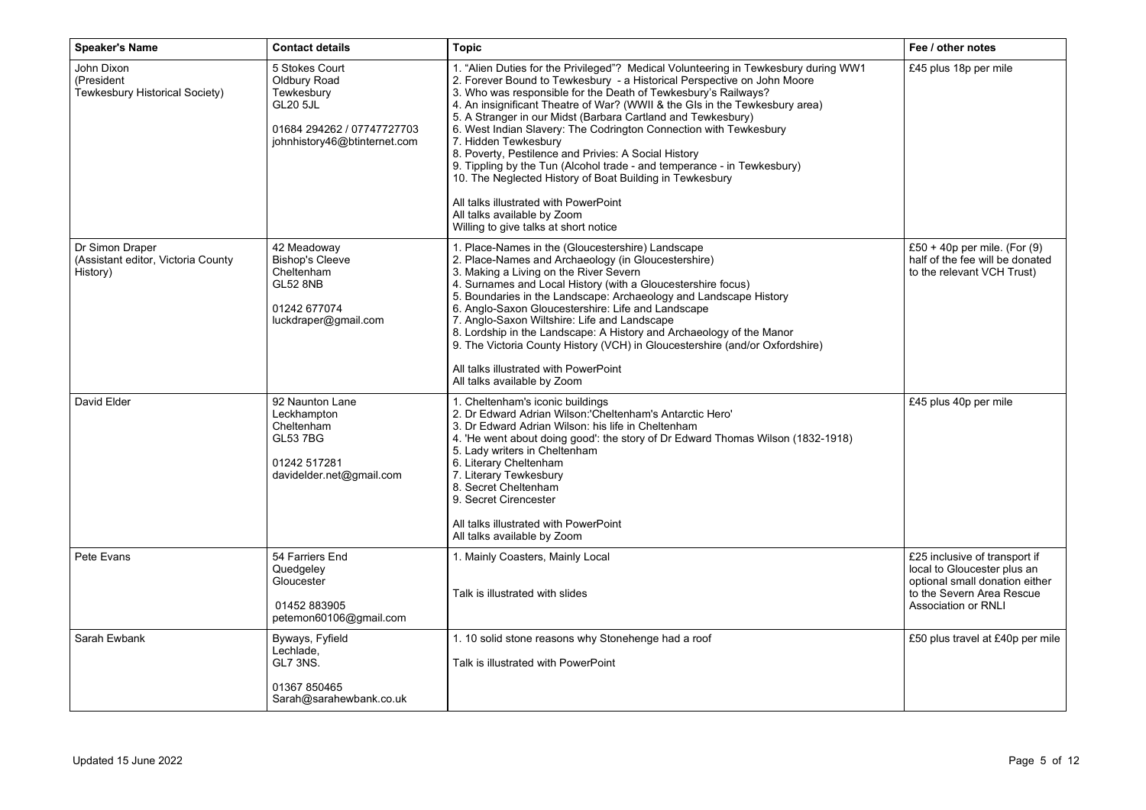| <b>Speaker's Name</b>                                             | <b>Contact details</b>                                                                                                        | <b>Topic</b>                                                                                                                                                                                                                                                                                                                                                                                                                                                                                                                                                                                                                                                                                                                                                                                 | Fee / other notes                                                                                                                                         |
|-------------------------------------------------------------------|-------------------------------------------------------------------------------------------------------------------------------|----------------------------------------------------------------------------------------------------------------------------------------------------------------------------------------------------------------------------------------------------------------------------------------------------------------------------------------------------------------------------------------------------------------------------------------------------------------------------------------------------------------------------------------------------------------------------------------------------------------------------------------------------------------------------------------------------------------------------------------------------------------------------------------------|-----------------------------------------------------------------------------------------------------------------------------------------------------------|
| John Dixon<br>(President<br>Tewkesbury Historical Society)        | 5 Stokes Court<br>Oldbury Road<br>Tewkesbury<br><b>GL20 5JL</b><br>01684 294262 / 07747727703<br>johnhistory46@btinternet.com | 1. "Alien Duties for the Privileged"? Medical Volunteering in Tewkesbury during WW1<br>2. Forever Bound to Tewkesbury - a Historical Perspective on John Moore<br>3. Who was responsible for the Death of Tewkesbury's Railways?<br>4. An insignificant Theatre of War? (WWII & the GIs in the Tewkesbury area)<br>5. A Stranger in our Midst (Barbara Cartland and Tewkesbury)<br>6. West Indian Slavery: The Codrington Connection with Tewkesbury<br>7. Hidden Tewkesbury<br>8. Poverty, Pestilence and Privies: A Social History<br>9. Tippling by the Tun (Alcohol trade - and temperance - in Tewkesbury)<br>10. The Neglected History of Boat Building in Tewkesbury<br>All talks illustrated with PowerPoint<br>All talks available by Zoom<br>Willing to give talks at short notice | £45 plus 18p per mile                                                                                                                                     |
| Dr Simon Draper<br>(Assistant editor, Victoria County<br>History) | 42 Meadoway<br>Bishop's Cleeve<br>Cheltenham<br><b>GL52 8NB</b><br>01242 677074<br>luckdraper@gmail.com                       | 1. Place-Names in the (Gloucestershire) Landscape<br>2. Place-Names and Archaeology (in Gloucestershire)<br>3. Making a Living on the River Severn<br>4. Surnames and Local History (with a Gloucestershire focus)<br>5. Boundaries in the Landscape: Archaeology and Landscape History<br>6. Anglo-Saxon Gloucestershire: Life and Landscape<br>7. Anglo-Saxon Wiltshire: Life and Landscape<br>8. Lordship in the Landscape: A History and Archaeology of the Manor<br>9. The Victoria County History (VCH) in Gloucestershire (and/or Oxfordshire)<br>All talks illustrated with PowerPoint<br>All talks available by Zoom                                                                                                                                                                | £50 + 40p per mile. (For $(9)$<br>half of the fee will be donated<br>to the relevant VCH Trust)                                                           |
| David Elder                                                       | 92 Naunton Lane<br>Leckhampton<br>Cheltenham<br><b>GL53 7BG</b><br>01242 517281<br>davidelder.net@gmail.com                   | 1. Cheltenham's iconic buildings<br>2. Dr Edward Adrian Wilson:'Cheltenham's Antarctic Hero'<br>3. Dr Edward Adrian Wilson: his life in Cheltenham<br>4. 'He went about doing good': the story of Dr Edward Thomas Wilson (1832-1918)<br>5. Lady writers in Cheltenham<br>6. Literary Cheltenham<br>7. Literary Tewkesbury<br>8. Secret Cheltenham<br>9. Secret Cirencester<br>All talks illustrated with PowerPoint<br>All talks available by Zoom                                                                                                                                                                                                                                                                                                                                          | £45 plus 40p per mile                                                                                                                                     |
| Pete Evans                                                        | 54 Farriers End<br>Quedgeley<br>Gloucester<br>01452 883905<br>petemon60106@gmail.com                                          | 1. Mainly Coasters, Mainly Local<br>Talk is illustrated with slides                                                                                                                                                                                                                                                                                                                                                                                                                                                                                                                                                                                                                                                                                                                          | £25 inclusive of transport if<br>local to Gloucester plus an<br>optional small donation either<br>to the Severn Area Rescue<br><b>Association or RNLI</b> |
| Sarah Ewbank                                                      | Byways, Fyfield<br>Lechlade,<br>GL7 3NS.<br>01367 850465<br>Sarah@sarahewbank.co.uk                                           | 1. 10 solid stone reasons why Stonehenge had a roof<br>Talk is illustrated with PowerPoint                                                                                                                                                                                                                                                                                                                                                                                                                                                                                                                                                                                                                                                                                                   | £50 plus travel at £40p per mile                                                                                                                          |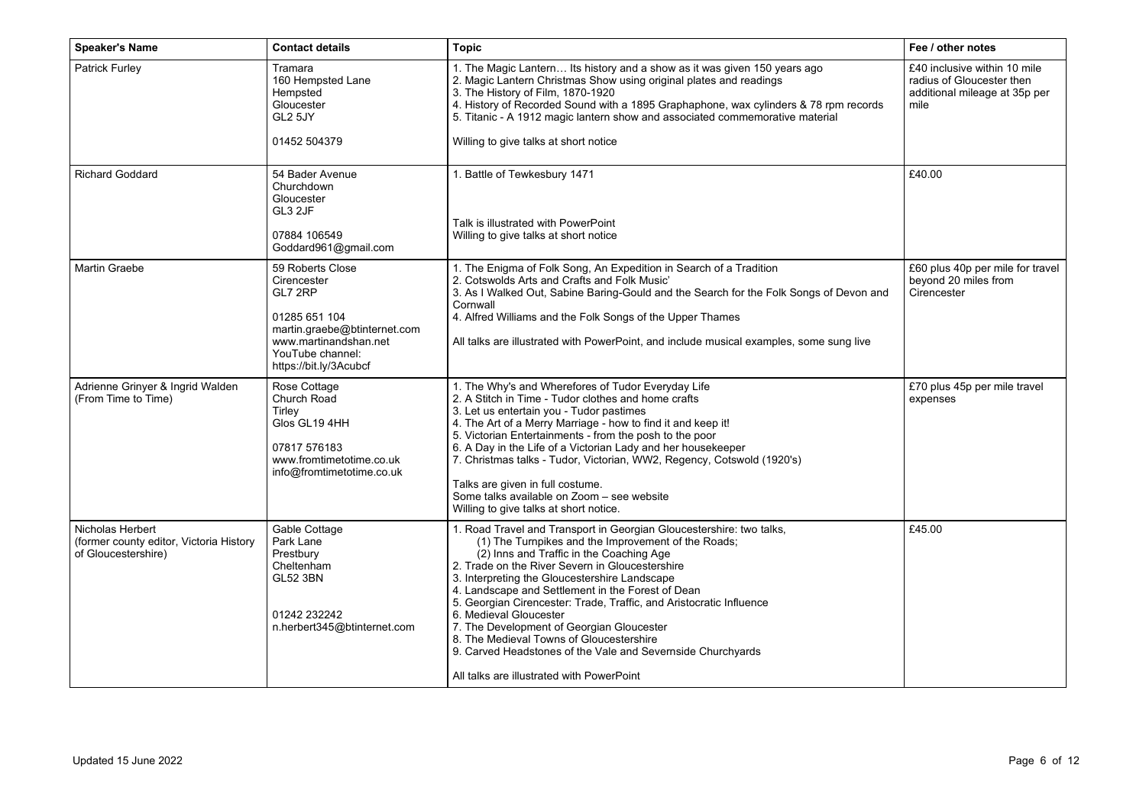| <b>Speaker's Name</b>                                                              | <b>Contact details</b>                                                                                                                                             | <b>Topic</b>                                                                                                                                                                                                                                                                                                                                                                                                                                                                                                                                                                                                                           | Fee / other notes                                                                                  |
|------------------------------------------------------------------------------------|--------------------------------------------------------------------------------------------------------------------------------------------------------------------|----------------------------------------------------------------------------------------------------------------------------------------------------------------------------------------------------------------------------------------------------------------------------------------------------------------------------------------------------------------------------------------------------------------------------------------------------------------------------------------------------------------------------------------------------------------------------------------------------------------------------------------|----------------------------------------------------------------------------------------------------|
| Patrick Furley                                                                     | Tramara<br>160 Hempsted Lane<br>Hempsted<br>Gloucester<br>GL2 5JY<br>01452 504379                                                                                  | 1. The Magic Lantern Its history and a show as it was given 150 years ago<br>2. Magic Lantern Christmas Show using original plates and readings<br>3. The History of Film, 1870-1920<br>4. History of Recorded Sound with a 1895 Graphaphone, wax cylinders & 78 rpm records<br>5. Titanic - A 1912 magic lantern show and associated commemorative material<br>Willing to give talks at short notice                                                                                                                                                                                                                                  | £40 inclusive within 10 mile<br>radius of Gloucester then<br>additional mileage at 35p per<br>mile |
|                                                                                    |                                                                                                                                                                    |                                                                                                                                                                                                                                                                                                                                                                                                                                                                                                                                                                                                                                        |                                                                                                    |
| <b>Richard Goddard</b>                                                             | 54 Bader Avenue<br>Churchdown<br>Gloucester<br>GL3 2JF                                                                                                             | 1. Battle of Tewkesbury 1471<br>Talk is illustrated with PowerPoint                                                                                                                                                                                                                                                                                                                                                                                                                                                                                                                                                                    | £40.00                                                                                             |
|                                                                                    | 07884 106549<br>Goddard961@gmail.com                                                                                                                               | Willing to give talks at short notice                                                                                                                                                                                                                                                                                                                                                                                                                                                                                                                                                                                                  |                                                                                                    |
| <b>Martin Graebe</b>                                                               | 59 Roberts Close<br>Cirencester<br>GL7 2RP<br>01285 651 104<br>martin.graebe@btinternet.com<br>www.martinandshan.net<br>YouTube channel:<br>https://bit.ly/3Acubcf | 1. The Enigma of Folk Song, An Expedition in Search of a Tradition<br>2. Cotswolds Arts and Crafts and Folk Music'<br>3. As I Walked Out, Sabine Baring-Gould and the Search for the Folk Songs of Devon and<br>Cornwall<br>4. Alfred Williams and the Folk Songs of the Upper Thames<br>All talks are illustrated with PowerPoint, and include musical examples, some sung live                                                                                                                                                                                                                                                       | £60 plus 40p per mile for travel<br>beyond 20 miles from<br>Cirencester                            |
| Adrienne Grinyer & Ingrid Walden<br>(From Time to Time)                            | Rose Cottage<br>Church Road<br>Tirley<br>Glos GL19 4HH<br>07817 576183<br>www.fromtimetotime.co.uk<br>info@fromtimetotime.co.uk                                    | 1. The Why's and Wherefores of Tudor Everyday Life<br>2. A Stitch in Time - Tudor clothes and home crafts<br>3. Let us entertain you - Tudor pastimes<br>4. The Art of a Merry Marriage - how to find it and keep it!<br>5. Victorian Entertainments - from the posh to the poor<br>6. A Day in the Life of a Victorian Lady and her housekeeper<br>7. Christmas talks - Tudor, Victorian, WW2, Regency, Cotswold (1920's)<br>Talks are given in full costume.<br>Some talks available on Zoom - see website<br>Willing to give talks at short notice.                                                                                 | £70 plus 45p per mile travel<br>expenses                                                           |
| Nicholas Herbert<br>(former county editor, Victoria History<br>of Gloucestershire) | Gable Cottage<br>Park Lane<br>Prestbury<br>Cheltenham<br><b>GL52 3BN</b><br>01242 232242<br>n.herbert345@btinternet.com                                            | 1. Road Travel and Transport in Georgian Gloucestershire: two talks,<br>(1) The Turnpikes and the Improvement of the Roads;<br>(2) Inns and Traffic in the Coaching Age<br>2. Trade on the River Severn in Gloucestershire<br>3. Interpreting the Gloucestershire Landscape<br>4. Landscape and Settlement in the Forest of Dean<br>5. Georgian Cirencester: Trade, Traffic, and Aristocratic Influence<br>6. Medieval Gloucester<br>7. The Development of Georgian Gloucester<br>8. The Medieval Towns of Gloucestershire<br>9. Carved Headstones of the Vale and Severnside Churchyards<br>All talks are illustrated with PowerPoint | £45.00                                                                                             |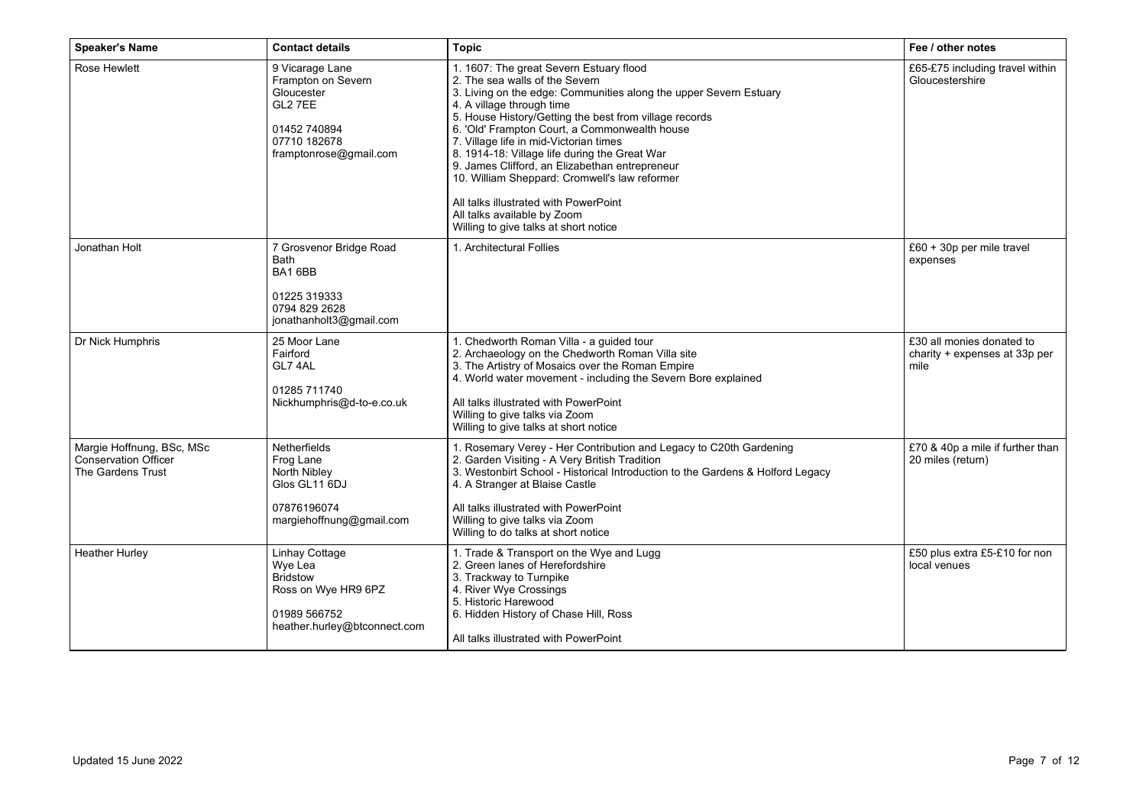| <b>Speaker's Name</b>                                                         | <b>Contact details</b>                                                                                                   | <b>Topic</b>                                                                                                                                                                                                                                                                                                                                                                                                                                                                                                                                                                                          | Fee / other notes                                                  |
|-------------------------------------------------------------------------------|--------------------------------------------------------------------------------------------------------------------------|-------------------------------------------------------------------------------------------------------------------------------------------------------------------------------------------------------------------------------------------------------------------------------------------------------------------------------------------------------------------------------------------------------------------------------------------------------------------------------------------------------------------------------------------------------------------------------------------------------|--------------------------------------------------------------------|
| Rose Hewlett                                                                  | 9 Vicarage Lane<br>Frampton on Severn<br>Gloucester<br>GL2 7EE<br>01452 740894<br>07710 182678<br>framptonrose@gmail.com | 1. 1607: The great Severn Estuary flood<br>2. The sea walls of the Severn<br>3. Living on the edge: Communities along the upper Severn Estuary<br>4. A village through time<br>5. House History/Getting the best from village records<br>6. 'Old' Frampton Court, a Commonwealth house<br>7. Village life in mid-Victorian times<br>8. 1914-18: Village life during the Great War<br>9. James Clifford, an Elizabethan entrepreneur<br>10. William Sheppard: Cromwell's law reformer<br>All talks illustrated with PowerPoint<br>All talks available by Zoom<br>Willing to give talks at short notice | £65-£75 including travel within<br>Gloucestershire                 |
| Jonathan Holt                                                                 | 7 Grosvenor Bridge Road<br><b>Bath</b><br>BA16BB<br>01225 319333<br>0794 829 2628<br>jonathanholt3@gmail.com             | 1. Architectural Follies                                                                                                                                                                                                                                                                                                                                                                                                                                                                                                                                                                              | £60 + 30p per mile travel<br>expenses                              |
| Dr Nick Humphris                                                              | 25 Moor Lane<br>Fairford<br>GL7 4AL<br>01285 711740<br>Nickhumphris@d-to-e.co.uk                                         | 1. Chedworth Roman Villa - a guided tour<br>2. Archaeology on the Chedworth Roman Villa site<br>3. The Artistry of Mosaics over the Roman Empire<br>4. World water movement - including the Severn Bore explained<br>All talks illustrated with PowerPoint<br>Willing to give talks via Zoom<br>Willing to give talks at short notice                                                                                                                                                                                                                                                                 | £30 all monies donated to<br>charity + expenses at 33p per<br>mile |
| Margie Hoffnung, BSc, MSc<br><b>Conservation Officer</b><br>The Gardens Trust | Netherfields<br>Frog Lane<br>North Nibley<br>Glos GL11 6DJ<br>07876196074<br>margiehoffnung@gmail.com                    | 1. Rosemary Verey - Her Contribution and Legacy to C20th Gardening<br>2. Garden Visiting - A Very British Tradition<br>3. Westonbirt School - Historical Introduction to the Gardens & Holford Legacy<br>4. A Stranger at Blaise Castle<br>All talks illustrated with PowerPoint<br>Willing to give talks via Zoom<br>Willing to do talks at short notice                                                                                                                                                                                                                                             | £70 & 40p a mile if further than<br>20 miles (return)              |
| <b>Heather Hurley</b>                                                         | Linhay Cottage<br>Wye Lea<br><b>Bridstow</b><br>Ross on Wye HR9 6PZ<br>01989 566752<br>heather.hurley@btconnect.com      | 1. Trade & Transport on the Wye and Lugg<br>2. Green lanes of Herefordshire<br>3. Trackway to Turnpike<br>4. River Wye Crossings<br>5. Historic Harewood<br>6. Hidden History of Chase Hill, Ross<br>All talks illustrated with PowerPoint                                                                                                                                                                                                                                                                                                                                                            | £50 plus extra £5-£10 for non<br>local venues                      |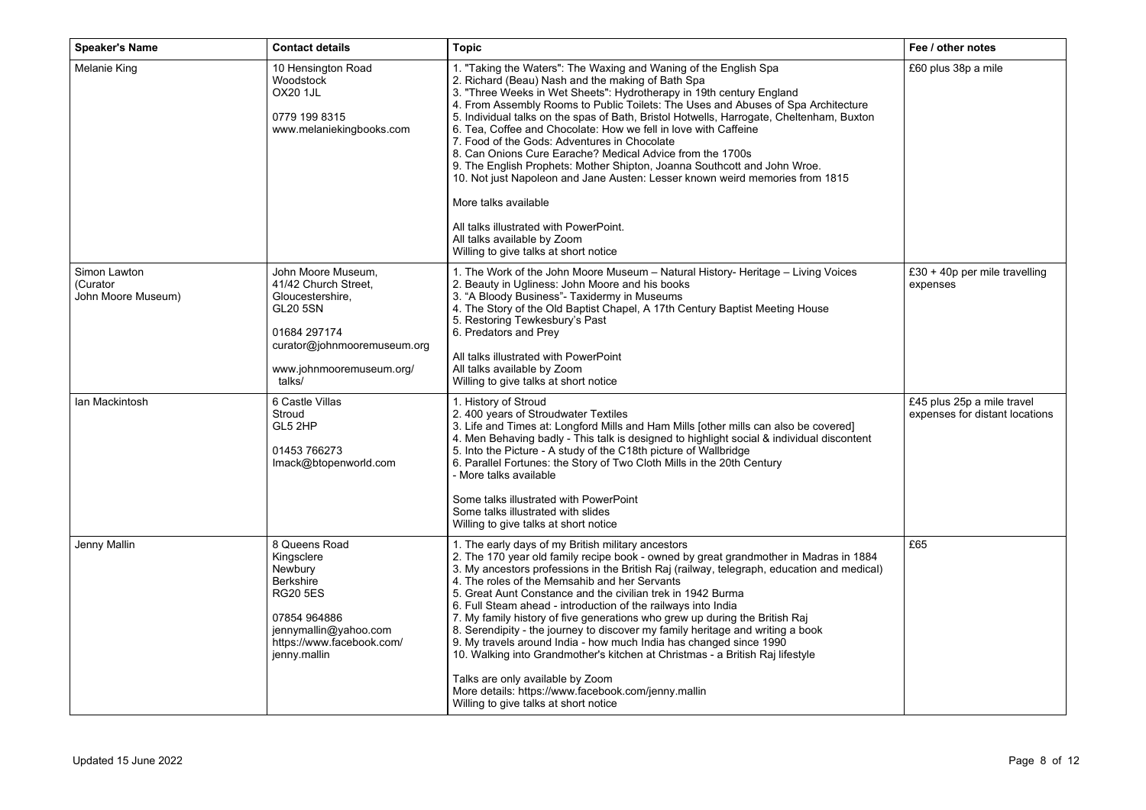| <b>Speaker's Name</b>                          | <b>Contact details</b>                                                                                                                                                 | <b>Topic</b>                                                                                                                                                                                                                                                                                                                                                                                                                                                                                                                                                                                                                                                                                                                                                                                                                                                                           | Fee / other notes                                            |
|------------------------------------------------|------------------------------------------------------------------------------------------------------------------------------------------------------------------------|----------------------------------------------------------------------------------------------------------------------------------------------------------------------------------------------------------------------------------------------------------------------------------------------------------------------------------------------------------------------------------------------------------------------------------------------------------------------------------------------------------------------------------------------------------------------------------------------------------------------------------------------------------------------------------------------------------------------------------------------------------------------------------------------------------------------------------------------------------------------------------------|--------------------------------------------------------------|
| Melanie King                                   | 10 Hensington Road<br>Woodstock<br><b>OX20 1JL</b><br>0779 199 8315<br>www.melaniekingbooks.com                                                                        | 1. "Taking the Waters": The Waxing and Waning of the English Spa<br>2. Richard (Beau) Nash and the making of Bath Spa<br>3. "Three Weeks in Wet Sheets": Hydrotherapy in 19th century England<br>4. From Assembly Rooms to Public Toilets: The Uses and Abuses of Spa Architecture<br>5. Individual talks on the spas of Bath, Bristol Hotwells, Harrogate, Cheltenham, Buxton<br>6. Tea, Coffee and Chocolate: How we fell in love with Caffeine<br>7. Food of the Gods: Adventures in Chocolate<br>8. Can Onions Cure Earache? Medical Advice from the 1700s<br>9. The English Prophets: Mother Shipton, Joanna Southcott and John Wroe.<br>10. Not just Napoleon and Jane Austen: Lesser known weird memories from 1815<br>More talks available<br>All talks illustrated with PowerPoint.<br>All talks available by Zoom<br>Willing to give talks at short notice                   | £60 plus 38p a mile                                          |
| Simon Lawton<br>(Curator<br>John Moore Museum) | John Moore Museum,<br>41/42 Church Street.<br>Gloucestershire,<br><b>GL20 5SN</b><br>01684 297174<br>curator@johnmooremuseum.org<br>www.johnmooremuseum.org/<br>talks/ | 1. The Work of the John Moore Museum - Natural History- Heritage - Living Voices<br>2. Beauty in Ugliness: John Moore and his books<br>3. "A Bloody Business"- Taxidermy in Museums<br>4. The Story of the Old Baptist Chapel, A 17th Century Baptist Meeting House<br>5. Restoring Tewkesbury's Past<br>6. Predators and Prey<br>All talks illustrated with PowerPoint<br>All talks available by Zoom<br>Willing to give talks at short notice                                                                                                                                                                                                                                                                                                                                                                                                                                        | £30 + 40p per mile travelling<br>expenses                    |
| Ian Mackintosh                                 | 6 Castle Villas<br>Stroud<br>GL5 2HP<br>01453 766273<br>Imack@btopenworld.com                                                                                          | 1. History of Stroud<br>2.400 years of Stroudwater Textiles<br>3. Life and Times at: Longford Mills and Ham Mills [other mills can also be covered]<br>4. Men Behaving badly - This talk is designed to highlight social & individual discontent<br>5. Into the Picture - A study of the C18th picture of Wallbridge<br>6. Parallel Fortunes: the Story of Two Cloth Mills in the 20th Century<br>- More talks available<br>Some talks illustrated with PowerPoint<br>Some talks illustrated with slides<br>Willing to give talks at short notice                                                                                                                                                                                                                                                                                                                                      | £45 plus 25p a mile travel<br>expenses for distant locations |
| Jenny Mallin                                   | 8 Queens Road<br>Kingsclere<br>Newbury<br><b>Berkshire</b><br><b>RG20 5ES</b><br>07854 964886<br>jennymallin@yahoo.com<br>https://www.facebook.com/<br>jenny.mallin    | 1. The early days of my British military ancestors<br>2. The 170 year old family recipe book - owned by great grandmother in Madras in 1884<br>3. My ancestors professions in the British Raj (railway, telegraph, education and medical)<br>4. The roles of the Memsahib and her Servants<br>5. Great Aunt Constance and the civilian trek in 1942 Burma<br>6. Full Steam ahead - introduction of the railways into India<br>7. My family history of five generations who grew up during the British Raj<br>8. Serendipity - the journey to discover my family heritage and writing a book<br>9. My travels around India - how much India has changed since 1990<br>10. Walking into Grandmother's kitchen at Christmas - a British Raj lifestyle<br>Talks are only available by Zoom<br>More details: https://www.facebook.com/jenny.mallin<br>Willing to give talks at short notice | £65                                                          |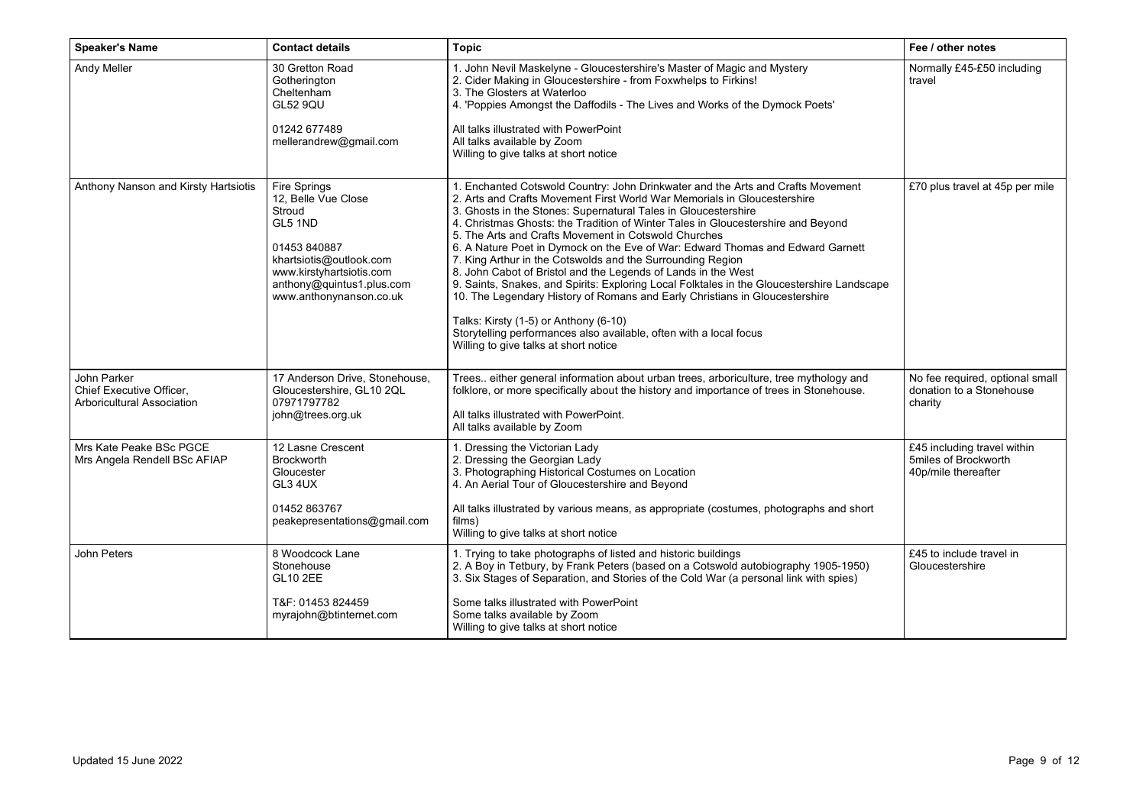| <b>Speaker's Name</b>                                                 | <b>Contact details</b>                                                                                                                                                                  | <b>Topic</b>                                                                                                                                                                                                                                                                                                                                                                                                                                                                                                                                                                                                                                                                                                                                                                                                                                                                                                                    | Fee / other notes                                                          |
|-----------------------------------------------------------------------|-----------------------------------------------------------------------------------------------------------------------------------------------------------------------------------------|---------------------------------------------------------------------------------------------------------------------------------------------------------------------------------------------------------------------------------------------------------------------------------------------------------------------------------------------------------------------------------------------------------------------------------------------------------------------------------------------------------------------------------------------------------------------------------------------------------------------------------------------------------------------------------------------------------------------------------------------------------------------------------------------------------------------------------------------------------------------------------------------------------------------------------|----------------------------------------------------------------------------|
| Andy Meller                                                           | 30 Gretton Road<br>Gotherington<br>Cheltenham<br><b>GL52 9QU</b><br>01242 677489<br>mellerandrew@gmail.com                                                                              | 1. John Nevil Maskelyne - Gloucestershire's Master of Magic and Mystery<br>2. Cider Making in Gloucestershire - from Foxwhelps to Firkins!<br>3. The Glosters at Waterloo<br>4. 'Poppies Amongst the Daffodils - The Lives and Works of the Dymock Poets'<br>All talks illustrated with PowerPoint<br>All talks available by Zoom<br>Willing to give talks at short notice                                                                                                                                                                                                                                                                                                                                                                                                                                                                                                                                                      | Normally £45-£50 including<br>travel                                       |
| Anthony Nanson and Kirsty Hartsiotis                                  | Fire Springs<br>12. Belle Vue Close<br>Stroud<br>GL5 1ND<br>01453 840887<br>khartsiotis@outlook.com<br>www.kirstyhartsiotis.com<br>anthony@quintus1.plus.com<br>www.anthonynanson.co.uk | 1. Enchanted Cotswold Country: John Drinkwater and the Arts and Crafts Movement<br>2. Arts and Crafts Movement First World War Memorials in Gloucestershire<br>3. Ghosts in the Stones: Supernatural Tales in Gloucestershire<br>4. Christmas Ghosts: the Tradition of Winter Tales in Gloucestershire and Beyond<br>5. The Arts and Crafts Movement in Cotswold Churches<br>6. A Nature Poet in Dymock on the Eve of War: Edward Thomas and Edward Garnett<br>7. King Arthur in the Cotswolds and the Surrounding Region<br>8. John Cabot of Bristol and the Legends of Lands in the West<br>9. Saints, Snakes, and Spirits: Exploring Local Folktales in the Gloucestershire Landscape<br>10. The Legendary History of Romans and Early Christians in Gloucestershire<br>Talks: Kirsty (1-5) or Anthony (6-10)<br>Storytelling performances also available, often with a local focus<br>Willing to give talks at short notice | £70 plus travel at 45p per mile                                            |
| John Parker<br>Chief Executive Officer,<br>Arboricultural Association | 17 Anderson Drive, Stonehouse,<br>Gloucestershire, GL10 2QL<br>07971797782<br>john@trees.org.uk                                                                                         | Trees either general information about urban trees, arboriculture, tree mythology and<br>folklore, or more specifically about the history and importance of trees in Stonehouse.<br>All talks illustrated with PowerPoint.<br>All talks available by Zoom                                                                                                                                                                                                                                                                                                                                                                                                                                                                                                                                                                                                                                                                       | No fee required, optional small<br>donation to a Stonehouse<br>charity     |
| Mrs Kate Peake BSc PGCE<br>Mrs Angela Rendell BSc AFIAP               | 12 Lasne Crescent<br><b>Brockworth</b><br>Gloucester<br>GL3 4UX<br>01452 863767<br>peakepresentations@gmail.com                                                                         | 1. Dressing the Victorian Lady<br>2. Dressing the Georgian Lady<br>3. Photographing Historical Costumes on Location<br>4. An Aerial Tour of Gloucestershire and Beyond<br>All talks illustrated by various means, as appropriate (costumes, photographs and short<br>films)<br>Willing to give talks at short notice                                                                                                                                                                                                                                                                                                                                                                                                                                                                                                                                                                                                            | £45 including travel within<br>5miles of Brockworth<br>40p/mile thereafter |
| John Peters                                                           | 8 Woodcock Lane<br>Stonehouse<br><b>GL10 2EE</b><br>T&F: 01453 824459<br>myrajohn@btinternet.com                                                                                        | 1. Trying to take photographs of listed and historic buildings<br>2. A Boy in Tetbury, by Frank Peters (based on a Cotswold autobiography 1905-1950)<br>3. Six Stages of Separation, and Stories of the Cold War (a personal link with spies)<br>Some talks illustrated with PowerPoint<br>Some talks available by Zoom<br>Willing to give talks at short notice                                                                                                                                                                                                                                                                                                                                                                                                                                                                                                                                                                | £45 to include travel in<br>Gloucestershire                                |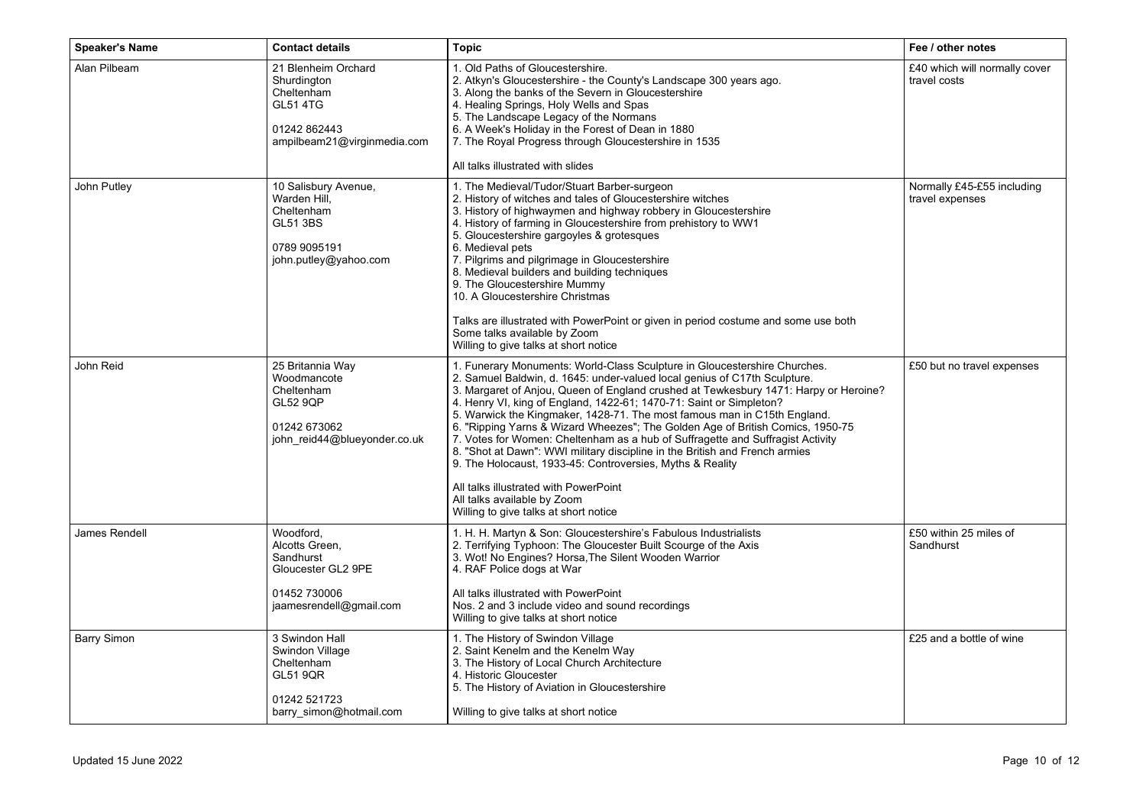| <b>Speaker's Name</b> | <b>Contact details</b>                                                                                             | <b>Topic</b>                                                                                                                                                                                                                                                                                                                                                                                                                                                                                                                                                                                                                                                                                                                                                                                                                       | Fee / other notes                             |
|-----------------------|--------------------------------------------------------------------------------------------------------------------|------------------------------------------------------------------------------------------------------------------------------------------------------------------------------------------------------------------------------------------------------------------------------------------------------------------------------------------------------------------------------------------------------------------------------------------------------------------------------------------------------------------------------------------------------------------------------------------------------------------------------------------------------------------------------------------------------------------------------------------------------------------------------------------------------------------------------------|-----------------------------------------------|
| Alan Pilbeam          | 21 Blenheim Orchard<br>Shurdington<br>Cheltenham<br><b>GL51 4TG</b><br>01242 862443<br>ampilbeam21@virginmedia.com | 1. Old Paths of Gloucestershire.<br>2. Atkyn's Gloucestershire - the County's Landscape 300 years ago.<br>3. Along the banks of the Severn in Gloucestershire<br>4. Healing Springs, Holy Wells and Spas<br>5. The Landscape Legacy of the Normans<br>6. A Week's Holiday in the Forest of Dean in 1880<br>7. The Royal Progress through Gloucestershire in 1535<br>All talks illustrated with slides                                                                                                                                                                                                                                                                                                                                                                                                                              | £40 which will normally cover<br>travel costs |
| John Putley           | 10 Salisbury Avenue,<br>Warden Hill.<br>Cheltenham<br><b>GL51 3BS</b><br>0789 9095191<br>john.putley@yahoo.com     | 1. The Medieval/Tudor/Stuart Barber-surgeon<br>2. History of witches and tales of Gloucestershire witches<br>3. History of highwaymen and highway robbery in Gloucestershire<br>4. History of farming in Gloucestershire from prehistory to WW1<br>5. Gloucestershire gargoyles & grotesques<br>6. Medieval pets<br>7. Pilgrims and pilgrimage in Gloucestershire<br>8. Medieval builders and building techniques<br>9. The Gloucestershire Mummy<br>10. A Gloucestershire Christmas<br>Talks are illustrated with PowerPoint or given in period costume and some use both<br>Some talks available by Zoom<br>Willing to give talks at short notice                                                                                                                                                                                | Normally £45-£55 including<br>travel expenses |
| John Reid             | 25 Britannia Way<br>Woodmancote<br>Cheltenham<br><b>GL52 9QP</b><br>01242 673062<br>john reid44@blueyonder.co.uk   | 1. Funerary Monuments: World-Class Sculpture in Gloucestershire Churches.<br>2. Samuel Baldwin, d. 1645: under-valued local genius of C17th Sculpture.<br>3. Margaret of Anjou, Queen of England crushed at Tewkesbury 1471: Harpy or Heroine?<br>4. Henry VI, king of England, 1422-61; 1470-71: Saint or Simpleton?<br>5. Warwick the Kingmaker, 1428-71. The most famous man in C15th England.<br>6. "Ripping Yarns & Wizard Wheezes"; The Golden Age of British Comics, 1950-75<br>7. Votes for Women: Cheltenham as a hub of Suffragette and Suffragist Activity<br>8. "Shot at Dawn": WWI military discipline in the British and French armies<br>9. The Holocaust, 1933-45: Controversies, Myths & Reality<br>All talks illustrated with PowerPoint<br>All talks available by Zoom<br>Willing to give talks at short notice | £50 but no travel expenses                    |
| James Rendell         | Woodford.<br>Alcotts Green,<br>Sandhurst<br>Gloucester GL2 9PE<br>01452 730006<br>jaamesrendell@gmail.com          | 1. H. H. Martyn & Son: Gloucestershire's Fabulous Industrialists<br>2. Terrifying Typhoon: The Gloucester Built Scourge of the Axis<br>3. Wot! No Engines? Horsa, The Silent Wooden Warrior<br>4. RAF Police dogs at War<br>All talks illustrated with PowerPoint<br>Nos. 2 and 3 include video and sound recordings<br>Willing to give talks at short notice                                                                                                                                                                                                                                                                                                                                                                                                                                                                      | £50 within 25 miles of<br>Sandhurst           |
| <b>Barry Simon</b>    | 3 Swindon Hall<br>Swindon Village<br>Cheltenham<br><b>GL51 9QR</b><br>01242 521723<br>barry simon@hotmail.com      | 1. The History of Swindon Village<br>2. Saint Kenelm and the Kenelm Way<br>3. The History of Local Church Architecture<br>4. Historic Gloucester<br>5. The History of Aviation in Gloucestershire<br>Willing to give talks at short notice                                                                                                                                                                                                                                                                                                                                                                                                                                                                                                                                                                                         | £25 and a bottle of wine                      |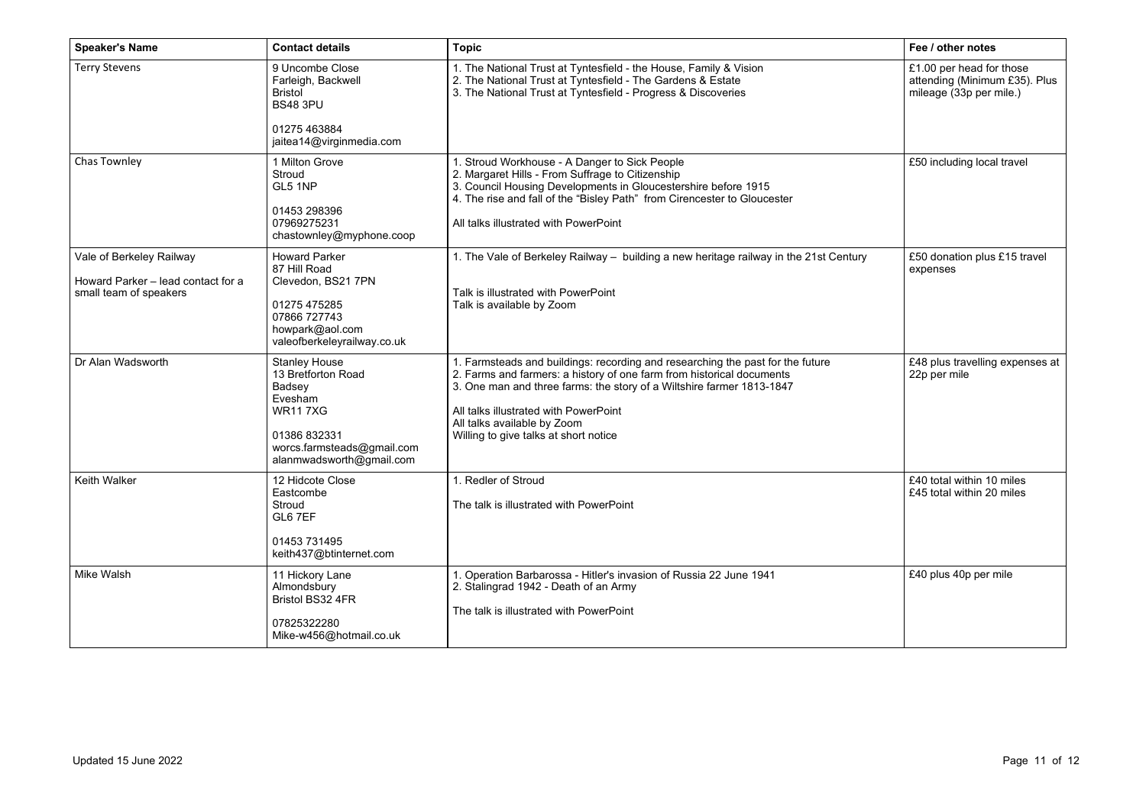| <b>Speaker's Name</b>                                                                    | <b>Contact details</b>                                                                                                                                      | <b>Topic</b>                                                                                                                                                                                                                                                                                                                                      | Fee / other notes                                                                    |
|------------------------------------------------------------------------------------------|-------------------------------------------------------------------------------------------------------------------------------------------------------------|---------------------------------------------------------------------------------------------------------------------------------------------------------------------------------------------------------------------------------------------------------------------------------------------------------------------------------------------------|--------------------------------------------------------------------------------------|
| <b>Terry Stevens</b>                                                                     | 9 Uncombe Close<br>Farleigh, Backwell<br><b>Bristol</b><br><b>BS48 3PU</b><br>01275 463884<br>jaitea14@virginmedia.com                                      | 1. The National Trust at Tyntesfield - the House, Family & Vision<br>2. The National Trust at Tyntesfield - The Gardens & Estate<br>3. The National Trust at Tyntesfield - Progress & Discoveries                                                                                                                                                 | £1.00 per head for those<br>attending (Minimum £35). Plus<br>mileage (33p per mile.) |
| Chas Townley                                                                             | 1 Milton Grove<br>Stroud<br>GL5 1NP<br>01453 298396<br>07969275231<br>chastownley@myphone.coop                                                              | 1. Stroud Workhouse - A Danger to Sick People<br>2. Margaret Hills - From Suffrage to Citizenship<br>3. Council Housing Developments in Gloucestershire before 1915<br>4. The rise and fall of the "Bisley Path" from Cirencester to Gloucester<br>All talks illustrated with PowerPoint                                                          | £50 including local travel                                                           |
| Vale of Berkeley Railway<br>Howard Parker - lead contact for a<br>small team of speakers | <b>Howard Parker</b><br>87 Hill Road<br>Clevedon, BS21 7PN<br>01275 475285<br>07866 727743<br>howpark@aol.com<br>valeofberkeleyrailway.co.uk                | 1. The Vale of Berkeley Railway - building a new heritage railway in the 21st Century<br>Talk is illustrated with PowerPoint<br>Talk is available by Zoom                                                                                                                                                                                         | £50 donation plus £15 travel<br>expenses                                             |
| Dr Alan Wadsworth                                                                        | <b>Stanley House</b><br>13 Bretforton Road<br>Badsey<br>Evesham<br><b>WR117XG</b><br>01386 832331<br>worcs.farmsteads@gmail.com<br>alanmwadsworth@gmail.com | 1. Farmsteads and buildings: recording and researching the past for the future<br>2. Farms and farmers: a history of one farm from historical documents<br>3. One man and three farms: the story of a Wiltshire farmer 1813-1847<br>All talks illustrated with PowerPoint<br>All talks available by Zoom<br>Willing to give talks at short notice | £48 plus travelling expenses at<br>22p per mile                                      |
| <b>Keith Walker</b>                                                                      | 12 Hidcote Close<br>Eastcombe<br>Stroud<br>GL6 7EF<br>01453 731495<br>keith437@btinternet.com                                                               | 1. Redler of Stroud<br>The talk is illustrated with PowerPoint                                                                                                                                                                                                                                                                                    | £40 total within 10 miles<br>£45 total within 20 miles                               |
| Mike Walsh                                                                               | 11 Hickory Lane<br>Almondsbury<br>Bristol BS32 4FR<br>07825322280<br>Mike-w456@hotmail.co.uk                                                                | 1. Operation Barbarossa - Hitler's invasion of Russia 22 June 1941<br>2. Stalingrad 1942 - Death of an Army<br>The talk is illustrated with PowerPoint                                                                                                                                                                                            | £40 plus 40p per mile                                                                |